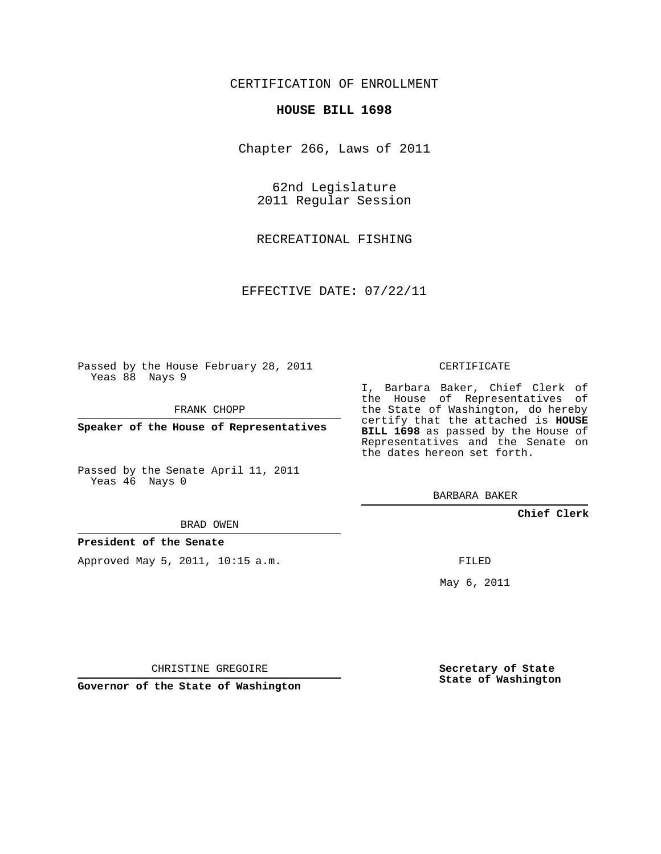## CERTIFICATION OF ENROLLMENT

#### **HOUSE BILL 1698**

Chapter 266, Laws of 2011

62nd Legislature 2011 Regular Session

RECREATIONAL FISHING

EFFECTIVE DATE: 07/22/11

Passed by the House February 28, 2011 Yeas 88 Nays 9

FRANK CHOPP

**Speaker of the House of Representatives**

Passed by the Senate April 11, 2011 Yeas 46 Nays 0

#### BRAD OWEN

### **President of the Senate**

Approved May 5, 2011, 10:15 a.m.

#### CERTIFICATE

I, Barbara Baker, Chief Clerk of the House of Representatives of the State of Washington, do hereby certify that the attached is **HOUSE BILL 1698** as passed by the House of Representatives and the Senate on the dates hereon set forth.

BARBARA BAKER

**Chief Clerk**

FILED

May 6, 2011

**Secretary of State State of Washington**

CHRISTINE GREGOIRE

**Governor of the State of Washington**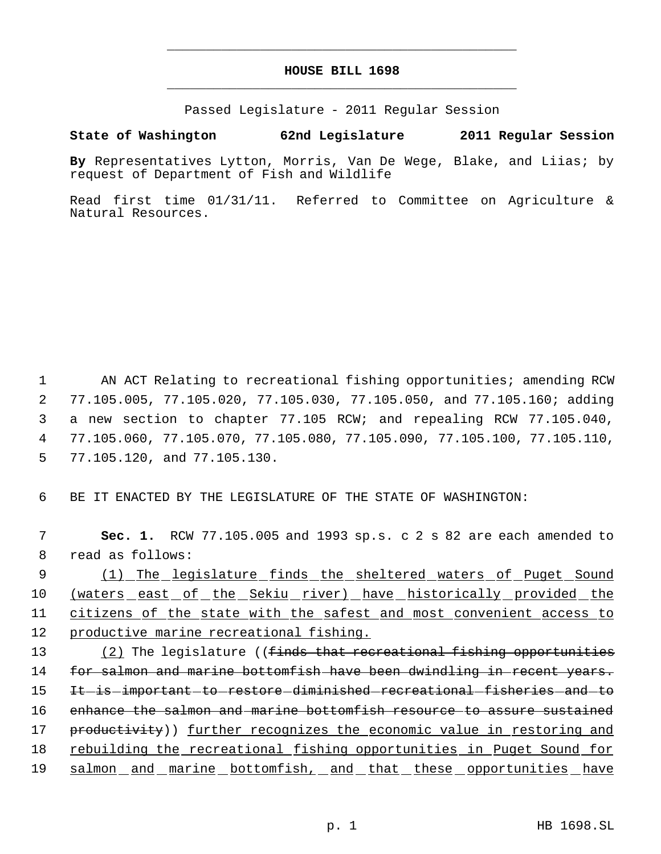# **HOUSE BILL 1698** \_\_\_\_\_\_\_\_\_\_\_\_\_\_\_\_\_\_\_\_\_\_\_\_\_\_\_\_\_\_\_\_\_\_\_\_\_\_\_\_\_\_\_\_\_

\_\_\_\_\_\_\_\_\_\_\_\_\_\_\_\_\_\_\_\_\_\_\_\_\_\_\_\_\_\_\_\_\_\_\_\_\_\_\_\_\_\_\_\_\_

Passed Legislature - 2011 Regular Session

## **State of Washington 62nd Legislature 2011 Regular Session**

**By** Representatives Lytton, Morris, Van De Wege, Blake, and Liias; by request of Department of Fish and Wildlife

Read first time 01/31/11. Referred to Committee on Agriculture & Natural Resources.

 AN ACT Relating to recreational fishing opportunities; amending RCW 77.105.005, 77.105.020, 77.105.030, 77.105.050, and 77.105.160; adding a new section to chapter 77.105 RCW; and repealing RCW 77.105.040, 77.105.060, 77.105.070, 77.105.080, 77.105.090, 77.105.100, 77.105.110, 77.105.120, and 77.105.130.

6 BE IT ENACTED BY THE LEGISLATURE OF THE STATE OF WASHINGTON:

 7 **Sec. 1.** RCW 77.105.005 and 1993 sp.s. c 2 s 82 are each amended to 8 read as follows:

9 (1) The legislature finds the sheltered waters of Puget Sound (waters east of the Sekiu river) have historically provided the citizens of the state with the safest and most convenient access to productive marine recreational fishing.

13 (2) The legislature ((<del>finds that recreational fishing opportunities</del> 14 for salmon and marine bottomfish have been dwindling in recent years. 15 It is important to restore diminished recreational fisheries and to 16 enhance the salmon and marine bottomfish resource to assure sustained 17 productivity)) further recognizes the economic value in restoring and 18 rebuilding the recreational fishing opportunities in Puget Sound for 19 salmon and marine bottomfish, and that these opportunities have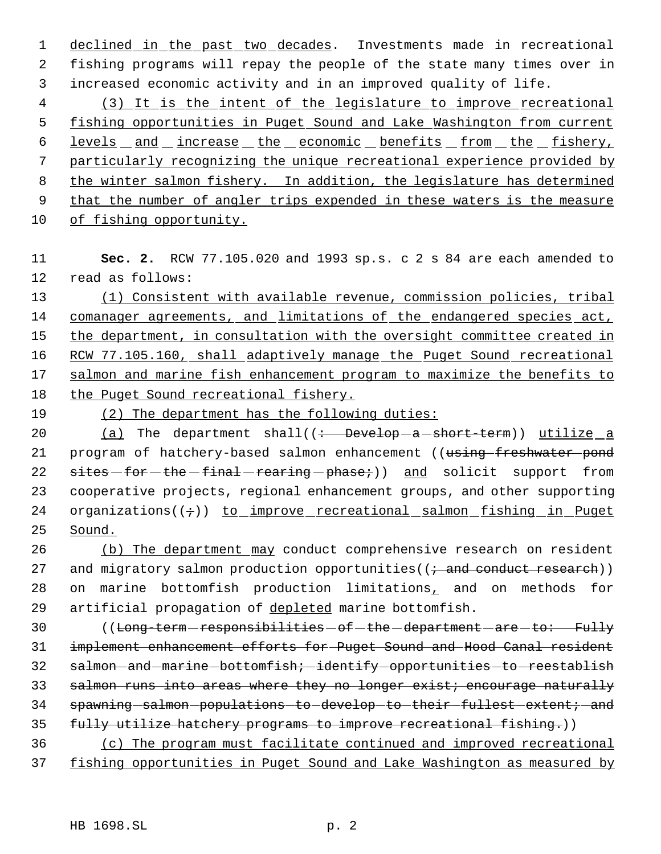1 declined in the past two decades. Investments made in recreational 2 fishing programs will repay the people of the state many times over in 3 increased economic activity and in an improved quality of life.

 (3) It is the intent of the legislature to improve recreational fishing opportunities in Puget Sound and Lake Washington from current 6 levels and increase the economic benefits from the fishery, particularly recognizing the unique recreational experience provided by the winter salmon fishery. In addition, the legislature has determined 9 that the number of angler trips expended in these waters is the measure of fishing opportunity.

11 **Sec. 2.** RCW 77.105.020 and 1993 sp.s. c 2 s 84 are each amended to 12 read as follows:

13 (1) Consistent with available revenue, commission policies, tribal 14 comanager agreements, and limitations of the endangered species act, 15 the department, in consultation with the oversight committee created in 16 RCW 77.105.160, shall adaptively manage the Puget Sound recreational 17 salmon and marine fish enhancement program to maximize the benefits to 18 the Puget Sound recreational fishery.

19 (2) The department has the following duties:

20  $(a)$  The department shall( $\left(\frac{1}{b} - \frac{b}{c}\right)$  =  $\frac{1}{c}$  a short-term)) utilize a 21 program of hatchery-based salmon enhancement ((using freshwater pond 22 sites for the final rearing phase;) and solicit support from 23 cooperative projects, regional enhancement groups, and other supporting 24 organizations( $(i)$ ) to improve recreational salmon fishing in Puget 25 Sound.

26 (b) The department may conduct comprehensive research on resident 27 and migratory salmon production opportunities( $(i \text{ and conduct research})$ ) 28 on marine bottomfish production limitations, and on methods for 29 artificial propagation of depleted marine bottomfish.

30 ((Long-term-responsibilities - of - the - department - are - to: Fully 31 implement enhancement efforts for Puget Sound and Hood Canal resident 32 salmon-and-marine-bottomfish; identify opportunities to reestablish 33 salmon runs into areas where they no longer exist; encourage naturally 34 spawning-salmon-populations-to-develop-to-their-fullest-extent;-and 35 fully utilize hatchery programs to improve recreational fishing.))

36 (c) The program must facilitate continued and improved recreational 37 fishing opportunities in Puget Sound and Lake Washington as measured by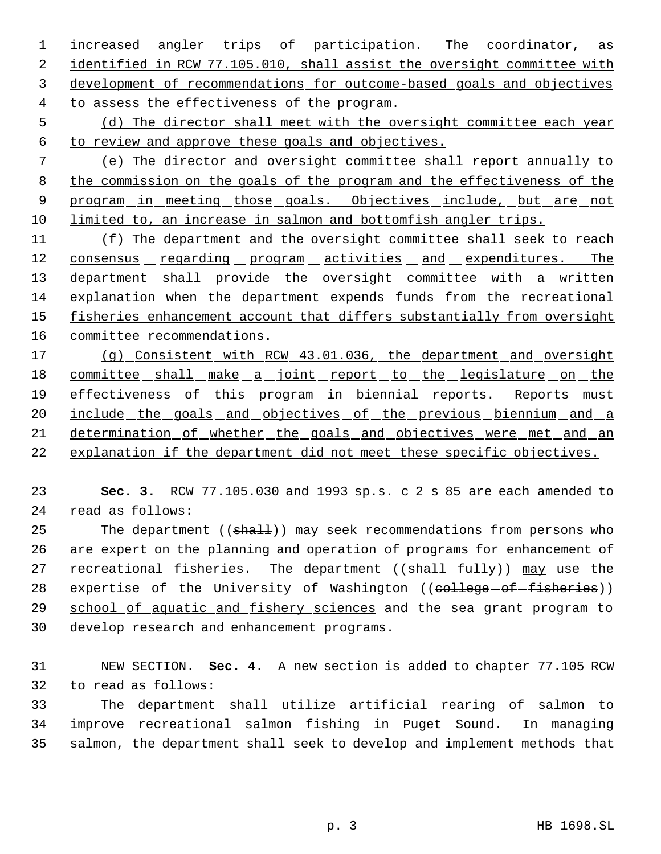1 <u>increased angler trips of participation. The coordinator, as</u> identified in RCW 77.105.010, shall assist the oversight committee with development of recommendations for outcome-based goals and objectives to assess the effectiveness of the program.

 (d) The director shall meet with the oversight committee each year to review and approve these goals and objectives.

 (e) The director and oversight committee shall report annually to 8 the commission on the goals of the program and the effectiveness of the 9 program in meeting those goals. Objectives include, but are not limited to, an increase in salmon and bottomfish angler trips.

 (f) The department and the oversight committee shall seek to reach 12 consensus regarding program activities and expenditures. The 13 department shall provide the oversight committee with a written explanation when the department expends funds from the recreational 15 fisheries enhancement account that differs substantially from oversight committee recommendations.

 (g) Consistent with RCW 43.01.036, the department and oversight 18 committee shall make a joint report to the legislature on the effectiveness of this program in biennial reports. Reports must 20 include the goals and objectives of the previous biennium and a determination of whether the goals and objectives were met and an explanation if the department did not meet these specific objectives.

 **Sec. 3.** RCW 77.105.030 and 1993 sp.s. c 2 s 85 are each amended to read as follows:

25 The department ((shall)) may seek recommendations from persons who are expert on the planning and operation of programs for enhancement of 27 recreational fisheries. The department ((shall-fully)) may use the 28 expertise of the University of Washington ((college-of-fisheries)) 29 school of aquatic and fishery sciences and the sea grant program to develop research and enhancement programs.

 NEW SECTION. **Sec. 4.** A new section is added to chapter 77.105 RCW to read as follows:

 The department shall utilize artificial rearing of salmon to improve recreational salmon fishing in Puget Sound. In managing salmon, the department shall seek to develop and implement methods that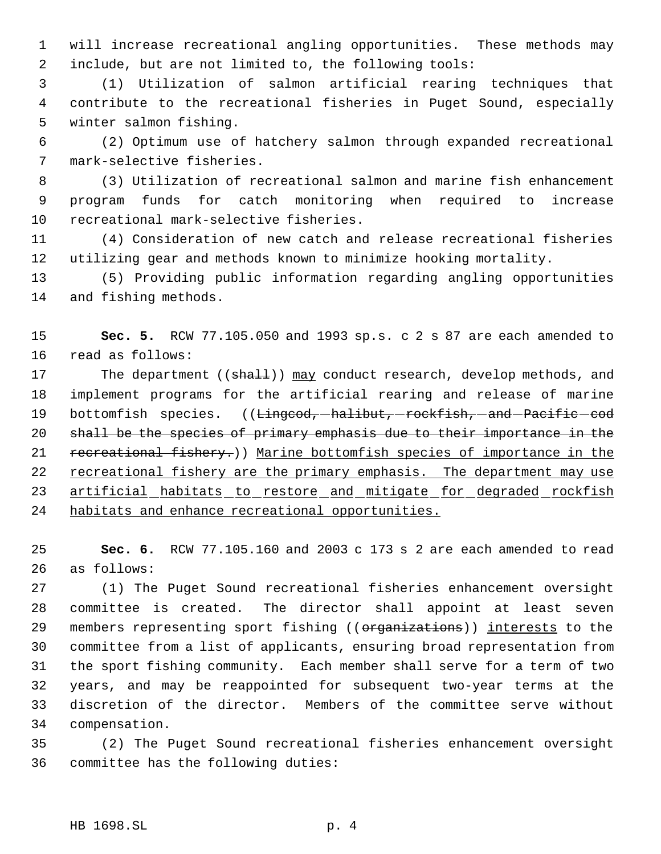will increase recreational angling opportunities. These methods may include, but are not limited to, the following tools:

 (1) Utilization of salmon artificial rearing techniques that contribute to the recreational fisheries in Puget Sound, especially winter salmon fishing.

 (2) Optimum use of hatchery salmon through expanded recreational mark-selective fisheries.

 (3) Utilization of recreational salmon and marine fish enhancement program funds for catch monitoring when required to increase recreational mark-selective fisheries.

 (4) Consideration of new catch and release recreational fisheries utilizing gear and methods known to minimize hooking mortality.

 (5) Providing public information regarding angling opportunities and fishing methods.

 **Sec. 5.** RCW 77.105.050 and 1993 sp.s. c 2 s 87 are each amended to read as follows:

17 The department ((shall)) may conduct research, develop methods, and implement programs for the artificial rearing and release of marine 19 bottomfish species. ((Lingcod, halibut, rockfish, and Pacific cod shall be the species of primary emphasis due to their importance in the 21 recreational fishery.)) Marine bottomfish species of importance in the 22 recreational fishery are the primary emphasis. The department may use 23 artificial habitats to restore and mitigate for degraded rockfish habitats and enhance recreational opportunities.

 **Sec. 6.** RCW 77.105.160 and 2003 c 173 s 2 are each amended to read as follows:

 (1) The Puget Sound recreational fisheries enhancement oversight committee is created. The director shall appoint at least seven 29 members representing sport fishing ((organizations)) interests to the committee from a list of applicants, ensuring broad representation from the sport fishing community. Each member shall serve for a term of two years, and may be reappointed for subsequent two-year terms at the discretion of the director. Members of the committee serve without compensation.

 (2) The Puget Sound recreational fisheries enhancement oversight committee has the following duties: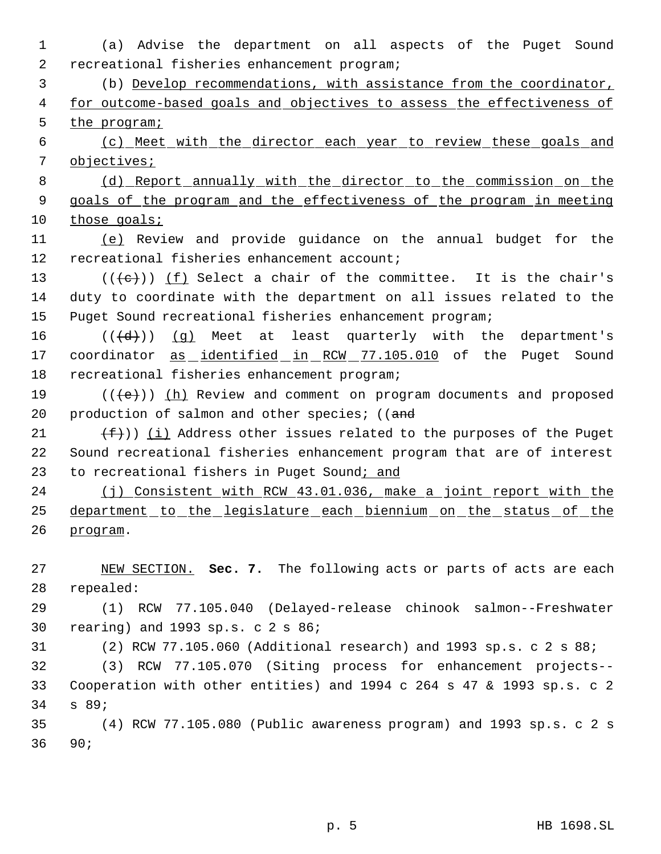(a) Advise the department on all aspects of the Puget Sound recreational fisheries enhancement program;

 (b) Develop recommendations, with assistance from the coordinator, 4 for outcome-based goals and objectives to assess the effectiveness of 5 the program;

 (c) Meet with the director each year to review these goals and objectives;

 (d) Report annually with the director to the commission on the goals of the program and the effectiveness of the program in meeting 10 those goals;

 (e) Review and provide guidance on the annual budget for the recreational fisheries enhancement account;

13  $((\{e\})^{\circ})$  ( $\underline{f}$ ) Select a chair of the committee. It is the chair's duty to coordinate with the department on all issues related to the Puget Sound recreational fisheries enhancement program;

 $((\{d\})$   $(g)$  Meet at least quarterly with the department's 17 coordinator as identified in RCW 77.105.010 of the Puget Sound recreational fisheries enhancement program;

19  $((\{e\})$  ( $(h)$  Review and comment on program documents and proposed 20 production of salmon and other species; ((and

21  $(f+))$  (i) Address other issues related to the purposes of the Puget Sound recreational fisheries enhancement program that are of interest 23 to recreational fishers in Puget Sound; and

24 (j) Consistent with RCW 43.01.036, make a joint report with the department to the legislature each biennium on the status of the program.

 NEW SECTION. **Sec. 7.** The following acts or parts of acts are each repealed:

 (1) RCW 77.105.040 (Delayed-release chinook salmon--Freshwater rearing) and 1993 sp.s. c 2 s 86;

(2) RCW 77.105.060 (Additional research) and 1993 sp.s. c 2 s 88;

 (3) RCW 77.105.070 (Siting process for enhancement projects-- Cooperation with other entities) and 1994 c 264 s 47 & 1993 sp.s. c 2 s 89;

 (4) RCW 77.105.080 (Public awareness program) and 1993 sp.s. c 2 s 90;